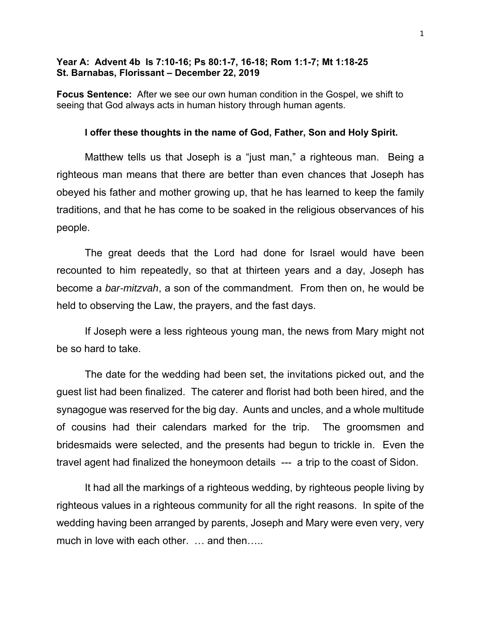# **Year A: Advent 4b Is 7:10-16; Ps 80:1-7, 16-18; Rom 1:1-7; Mt 1:18-25 St. Barnabas, Florissant – December 22, 2019**

**Focus Sentence:** After we see our own human condition in the Gospel, we shift to seeing that God always acts in human history through human agents.

#### **I offer these thoughts in the name of God, Father, Son and Holy Spirit.**

Matthew tells us that Joseph is a "just man," a righteous man. Being a righteous man means that there are better than even chances that Joseph has obeyed his father and mother growing up, that he has learned to keep the family traditions, and that he has come to be soaked in the religious observances of his people.

The great deeds that the Lord had done for Israel would have been recounted to him repeatedly, so that at thirteen years and a day, Joseph has become a *bar-mitzvah*, a son of the commandment. From then on, he would be held to observing the Law, the prayers, and the fast days.

If Joseph were a less righteous young man, the news from Mary might not be so hard to take.

The date for the wedding had been set, the invitations picked out, and the guest list had been finalized. The caterer and florist had both been hired, and the synagogue was reserved for the big day. Aunts and uncles, and a whole multitude of cousins had their calendars marked for the trip. The groomsmen and bridesmaids were selected, and the presents had begun to trickle in. Even the travel agent had finalized the honeymoon details --- a trip to the coast of Sidon.

It had all the markings of a righteous wedding, by righteous people living by righteous values in a righteous community for all the right reasons. In spite of the wedding having been arranged by parents, Joseph and Mary were even very, very much in love with each other. ... and then.....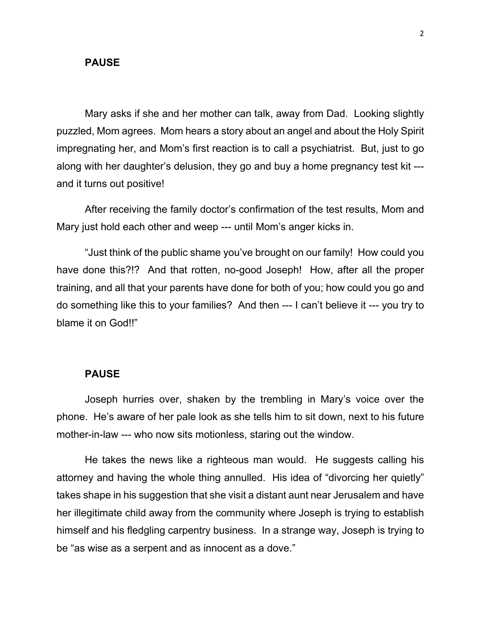### **PAUSE**

Mary asks if she and her mother can talk, away from Dad. Looking slightly puzzled, Mom agrees. Mom hears a story about an angel and about the Holy Spirit impregnating her, and Mom's first reaction is to call a psychiatrist. But, just to go along with her daughter's delusion, they go and buy a home pregnancy test kit -- and it turns out positive!

After receiving the family doctor's confirmation of the test results, Mom and Mary just hold each other and weep --- until Mom's anger kicks in.

"Just think of the public shame you've brought on our family! How could you have done this?!? And that rotten, no-good Joseph! How, after all the proper training, and all that your parents have done for both of you; how could you go and do something like this to your families? And then --- I can't believe it --- you try to blame it on God!!"

#### **PAUSE**

Joseph hurries over, shaken by the trembling in Mary's voice over the phone. He's aware of her pale look as she tells him to sit down, next to his future mother-in-law --- who now sits motionless, staring out the window.

He takes the news like a righteous man would. He suggests calling his attorney and having the whole thing annulled. His idea of "divorcing her quietly" takes shape in his suggestion that she visit a distant aunt near Jerusalem and have her illegitimate child away from the community where Joseph is trying to establish himself and his fledgling carpentry business. In a strange way, Joseph is trying to be "as wise as a serpent and as innocent as a dove."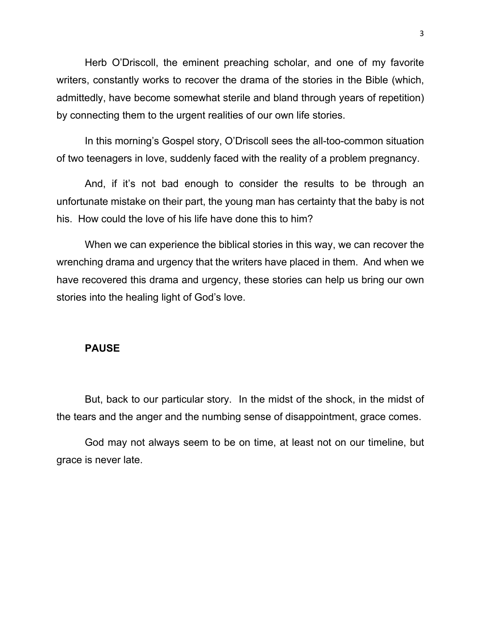Herb O'Driscoll, the eminent preaching scholar, and one of my favorite writers, constantly works to recover the drama of the stories in the Bible (which, admittedly, have become somewhat sterile and bland through years of repetition) by connecting them to the urgent realities of our own life stories.

In this morning's Gospel story, O'Driscoll sees the all-too-common situation of two teenagers in love, suddenly faced with the reality of a problem pregnancy.

And, if it's not bad enough to consider the results to be through an unfortunate mistake on their part, the young man has certainty that the baby is not his. How could the love of his life have done this to him?

When we can experience the biblical stories in this way, we can recover the wrenching drama and urgency that the writers have placed in them. And when we have recovered this drama and urgency, these stories can help us bring our own stories into the healing light of God's love.

### **PAUSE**

But, back to our particular story. In the midst of the shock, in the midst of the tears and the anger and the numbing sense of disappointment, grace comes.

God may not always seem to be on time, at least not on our timeline, but grace is never late.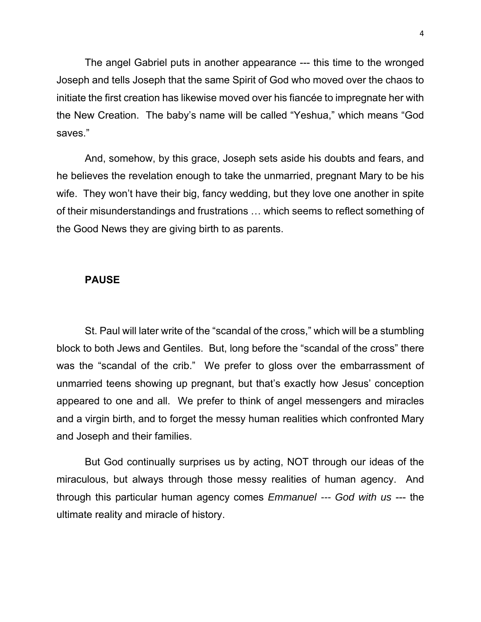The angel Gabriel puts in another appearance --- this time to the wronged Joseph and tells Joseph that the same Spirit of God who moved over the chaos to initiate the first creation has likewise moved over his fiancée to impregnate her with the New Creation. The baby's name will be called "Yeshua," which means "God saves."

And, somehow, by this grace, Joseph sets aside his doubts and fears, and he believes the revelation enough to take the unmarried, pregnant Mary to be his wife. They won't have their big, fancy wedding, but they love one another in spite of their misunderstandings and frustrations … which seems to reflect something of the Good News they are giving birth to as parents.

## **PAUSE**

St. Paul will later write of the "scandal of the cross," which will be a stumbling block to both Jews and Gentiles. But, long before the "scandal of the cross" there was the "scandal of the crib." We prefer to gloss over the embarrassment of unmarried teens showing up pregnant, but that's exactly how Jesus' conception appeared to one and all. We prefer to think of angel messengers and miracles and a virgin birth, and to forget the messy human realities which confronted Mary and Joseph and their families.

But God continually surprises us by acting, NOT through our ideas of the miraculous, but always through those messy realities of human agency. And through this particular human agency comes *Emmanuel --- God with us* --- the ultimate reality and miracle of history.